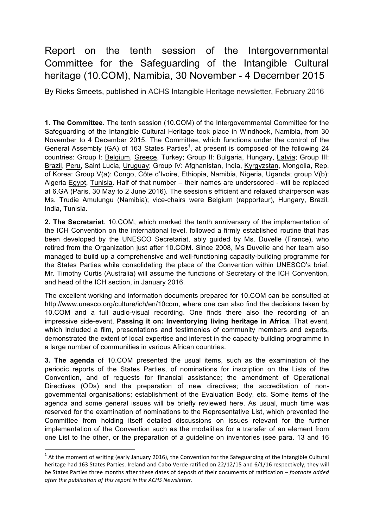## Report on the tenth session of the Intergovernmental Committee for the Safeguarding of the Intangible Cultural heritage (10.COM), Namibia, 30 November - 4 December 2015

By Rieks Smeets, published in ACHS Intangible Heritage newsletter, February 2016

**1. The Committee**. The tenth session (10.COM) of the Intergovernmental Committee for the Safeguarding of the Intangible Cultural Heritage took place in Windhoek, Namibia, from 30 November to 4 December 2015. The Committee, which functions under the control of the General Assembly (GA) of 163 States Parties<sup>1</sup>, at present is composed of the following 24 countries: Group I: Belgium, Greece, Turkey; Group II: Bulgaria, Hungary, Latvia; Group III: Brazil, Peru, Saint Lucia, Uruguay; Group IV: Afghanistan, India, Kyrgyzstan, Mongolia, Rep. of Korea: Group V(a): Congo, Côte d'Ivoire, Ethiopia, Namibia, Nigeria, Uganda; group V(b): Algeria Egypt, Tunisia. Half of that number – their names are underscored - will be replaced at 6.GA (Paris, 30 May to 2 June 2016). The session's efficient and relaxed chairperson was Ms. Trudie Amulungu (Namibia); vice-chairs were Belgium (rapporteur), Hungary, Brazil, India, Tunisia.

**2. The Secretariat**. 10.COM, which marked the tenth anniversary of the implementation of the ICH Convention on the international level, followed a firmly established routine that has been developed by the UNESCO Secretariat, ably guided by Ms. Duvelle (France), who retired from the Organization just after 10.COM. Since 2008, Ms Duvelle and her team also managed to build up a comprehensive and well-functioning capacity-building programme for the States Parties while consolidating the place of the Convention within UNESCO's brief. Mr. Timothy Curtis (Australia) will assume the functions of Secretary of the ICH Convention, and head of the ICH section, in January 2016.

The excellent working and information documents prepared for 10.COM can be consulted at http://www.unesco.org/culture/ich/en/10com, where one can also find the decisions taken by 10.COM and a full audio-visual recording. One finds there also the recording of an impressive side-event, **Passing it on: Inventorying living heritage in Africa**. That event, which included a film, presentations and testimonies of community members and experts, demonstrated the extent of local expertise and interest in the capacity-building programme in a large number of communities in various African countries.

**3. The agenda** of 10.COM presented the usual items, such as the examination of the periodic reports of the States Parties, of nominations for inscription on the Lists of the Convention, and of requests for financial assistance; the amendment of Operational Directives (ODs) and the preparation of new directives; the accreditation of nongovernmental organisations; establishment of the Evaluation Body, etc. Some items of the agenda and some general issues will be briefly reviewed here. As usual, much time was reserved for the examination of nominations to the Representative List, which prevented the Committee from holding itself detailed discussions on issues relevant for the further implementation of the Convention such as the modalities for a transfer of an element from one List to the other, or the preparation of a guideline on inventories (see para. 13 and 16

<u> 1989 - Jan Samuel Barbara, margaret e</u>

 $1$  At the moment of writing (early January 2016), the Convention for the Safeguarding of the Intangible Cultural heritage had 163 States Parties. Ireland and Cabo Verde ratified on 22/12/15 and 6/1/16 respectively: they will be States Parties three months after these dates of deposit of their documents of ratification – *footnote added* after the publication of this report in the ACHS Newsletter.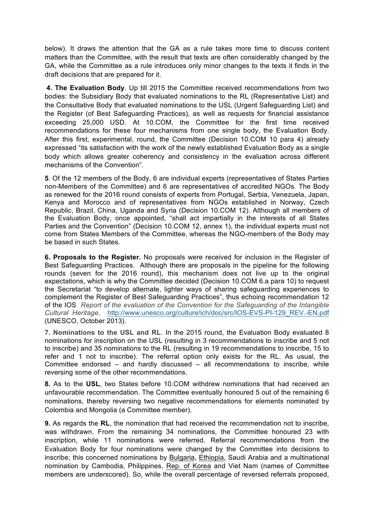below). It draws the attention that the GA as a rule takes more time to discuss content matters than the Committee, with the result that texts are often considerably changed by the GA, while the Committee as a rule introduces only minor changes to the texts it finds in the draft decisions that are prepared for it.

**4. The Evaluation Body**. Up till 2015 the Committee received recommendations from two bodies: the Subsidiary Body that evaluated nominations to the RL (Representative List) and the Consultative Body that evaluated nominations to the USL (Urgent Safeguarding List) and the Register (of Best Safeguarding Practices), as well as requests for financial assistance exceeding 25,000 USD. At 10.COM, the Committee for the first time received recommendations for these four mechanisms from one single body, the Evaluation Body. After this first, experimental, round, the Committee (Decision 10.COM 10 para 4) already expressed "its satisfaction with the work of the newly established Evaluation Body as a single body which allows greater coherency and consistency in the evaluation across different mechanisms of the Convention".

**5**. Of the 12 members of the Body, 6 are individual experts (representatives of States Parties non-Members of the Committee) and 6 are representatives of accredited NGOs. The Body as renewed for the 2016 round consists of experts from Portugal, Serbia, Venezuela, Japan, Kenya and Morocco and of representatives from NGOs established in Norway, Czech Republic, Brazil, China, Uganda and Syria (Decision 10.COM 12). Although all members of the Evaluation Body, once appointed, "shall act impartially in the interests of all States Parties and the Convention" (Decision 10.COM 12, annex 1), the individual experts must not come from States Members of the Committee, whereas the NGO-members of the Body may be based in such States.

**6. Proposals to the Register.** No proposals were received for inclusion in the Register of Best Safeguarding Practices. Although there are proposals in the pipeline for the following rounds (seven for the 2016 round), this mechanism does not live up to the original expectations, which is why the Committee decided (Decision 10.COM 6.a para 10) to request the Secretariat "to develop alternate, lighter ways of sharing safeguarding experiences to complement the Register of Best Safeguarding Practices", thus echoing recommendation 12 of the IOS *Report of the evaluation of the Convention for the Safeguarding of the Intangible Cultural Heritage,* http://www.unesco.org/culture/ich/doc/src/IOS-EVS-PI-129\_REV.-EN.pdf (UNESCO, October 2013).

**7. Nominations to the USL and RL**. In the 2015 round, the Evaluation Body evaluated 8 nominations for inscription on the USL (resulting in 3 recommendations to inscribe and 5 not to inscribe) and 35 nominations to the RL (resulting in 19 recommendations to inscribe, 15 to refer and 1 not to inscribe). The referral option only exists for the RL. As usual, the Committee endorsed – and hardly discussed – all recommendations to inscribe, while reversing some of the other recommendations.

**8.** As to the **USL**, two States before 10.COM withdrew nominations that had received an unfavourable recommendation. The Committee eventually honoured 5 out of the remaining 6 nominations, thereby reversing two negative recommendations for elements nominated by Colombia and Mongolia (a Committee member).

**9.** As regards the **RL**, the nomination that had received the recommendation not to inscribe, was withdrawn. From the remaining 34 nominations, the Committee honoured 23 with inscription, while 11 nominations were referred. Referral recommendations from the Evaluation Body for four nominations were changed by the Committee into decisions to inscribe; this concerned nominations by Bulgaria, Ethiopia, Saudi Arabia and a multinational nomination by Cambodia, Philippines, Rep. of Korea and Viet Nam (names of Committee members are underscored). So, while the overall percentage of reversed referrals proposed,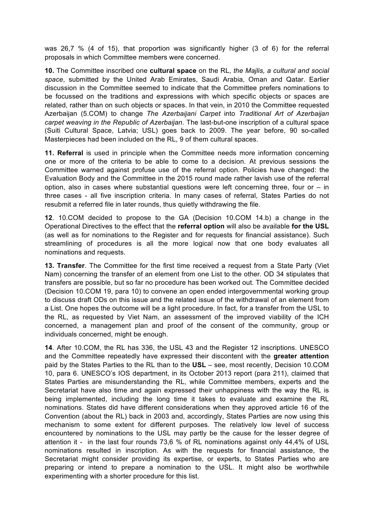was 26,7 % (4 of 15), that proportion was significantly higher (3 of 6) for the referral proposals in which Committee members were concerned.

**10.** The Committee inscribed one **cultural space** on the RL, *the Majlis, a cultural and social space*, submitted by the United Arab Emirates, Saudi Arabia, Oman and Qatar. Earlier discussion in the Committee seemed to indicate that the Committee prefers nominations to be focussed on the traditions and expressions with which specific objects or spaces are related, rather than on such objects or spaces. In that vein, in 2010 the Committee requested Azerbaijan (5.COM) to change *The Azerbaijani Carpet* into *Traditional Art of Azerbaijan carpet weaving in the Republic of Azerbaijan*. The last-but-one inscription of a cultural space (Suiti Cultural Space, Latvia; USL) goes back to 2009. The year before, 90 so-called Masterpieces had been included on the RL, 9 of them cultural spaces.

**11. Referral** is used in principle when the Committee needs more information concerning one or more of the criteria to be able to come to a decision. At previous sessions the Committee warned against profuse use of the referral option. Policies have changed: the Evaluation Body and the Committee in the 2015 round made rather lavish use of the referral option, also in cases where substantial questions were left concerning three, four or  $-$  in three cases - all five inscription criteria. In many cases of referral, States Parties do not resubmit a referred file in later rounds, thus quietly withdrawing the file.

**12**. 10.COM decided to propose to the GA (Decision 10.COM 14.b) a change in the Operational Directives to the effect that the **referral option** will also be available **for the USL** (as well as for nominations to the Register and for requests for financial assistance). Such streamlining of procedures is all the more logical now that one body evaluates all nominations and requests.

**13. Transfer**. The Committee for the first time received a request from a State Party (Viet Nam) concerning the transfer of an element from one List to the other. OD 34 stipulates that transfers are possible, but so far no procedure has been worked out. The Committee decided (Decision 10.COM 19, para 10) to convene an open ended intergovernmental working group to discuss draft ODs on this issue and the related issue of the withdrawal of an element from a List. One hopes the outcome will be a light procedure. In fact, for a transfer from the USL to the RL, as requested by Viet Nam, an assessment of the improved viability of the ICH concerned, a management plan and proof of the consent of the community, group or individuals concerned, might be enough.

**14**. After 10.COM, the RL has 336, the USL 43 and the Register 12 inscriptions. UNESCO and the Committee repeatedly have expressed their discontent with the **greater attention** paid by the States Parties to the RL than to the **USL** – see, most recently, Decision 10.COM 10, para 6. UNESCO's IOS department, in its October 2013 report (para 211), claimed that States Parties are misunderstanding the RL, while Committee members, experts and the Secretariat have also time and again expressed their unhappiness with the way the RL is being implemented, including the long time it takes to evaluate and examine the RL nominations. States did have different considerations when they approved article 16 of the Convention (about the RL) back in 2003 and, accordingly, States Parties are now using this mechanism to some extent for different purposes. The relatively low level of success encountered by nominations to the USL may partly be the cause for the lesser degree of attention it - in the last four rounds 73,6 % of RL nominations against only 44,4% of USL nominations resulted in inscription. As with the requests for financial assistance, the Secretariat might consider providing its expertise, or experts, to States Parties who are preparing or intend to prepare a nomination to the USL. It might also be worthwhile experimenting with a shorter procedure for this list.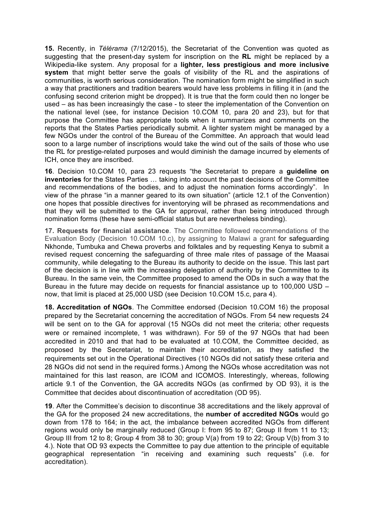**15.** Recently, in *Télérama* (7/12/2015), the Secretariat of the Convention was quoted as suggesting that the present-day system for inscription on the **RL** might be replaced by a Wikipedia-like system. Any proposal for a **lighter, less prestigious and more inclusive system** that might better serve the goals of visibility of the RL and the aspirations of communities, is worth serious consideration. The nomination form might be simplified in such a way that practitioners and tradition bearers would have less problems in filling it in (and the confusing second criterion might be dropped). It is true that the form could then no longer be used – as has been increasingly the case - to steer the implementation of the Convention on the national level (see, for instance Decision 10.COM 10, para 20 and 23), but for that purpose the Committee has appropriate tools when it summarizes and comments on the reports that the States Parties periodically submit. A lighter system might be managed by a few NGOs under the control of the Bureau of the Committee. An approach that would lead soon to a large number of inscriptions would take the wind out of the sails of those who use the RL for prestige-related purposes and would diminish the damage incurred by elements of ICH, once they are inscribed.

**16**. Decision 10.COM 10, para 23 requests "the Secretariat to prepare a **guideline on inventories** for the States Parties … taking into account the past decisions of the Committee and recommendations of the bodies, and to adjust the nomination forms accordingly". In view of the phrase "in a manner geared to its own situation" (article 12.1 of the Convention) one hopes that possible directives for inventorying will be phrased as recommendations and that they will be submitted to the GA for approval, rather than being introduced through nomination forms (these have semi-official status but are nevertheless binding).

**17. Requests for financial assistance**. The Committee followed recommendations of the Evaluation Body (Decision 10.COM 10.c), by assigning to Malawi a grant for safeguarding Nkhonde, Tumbuka and Chewa proverbs and folktales and by requesting Kenya to submit a revised request concerning the safeguarding of three male rites of passage of the Maasai community, while delegating to the Bureau its authority to decide on the issue. This last part of the decision is in line with the increasing delegation of authority by the Committee to its Bureau. In the same vein, the Committee proposed to amend the ODs in such a way that the Bureau in the future may decide on requests for financial assistance up to 100,000 USD – now, that limit is placed at 25,000 USD (see Decision 10.COM 15.c, para 4).

**18. Accreditation of NGOs**. The Committee endorsed (Decision 10.COM 16) the proposal prepared by the Secretariat concerning the accreditation of NGOs. From 54 new requests 24 will be sent on to the GA for approval (15 NGOs did not meet the criteria; other requests were or remained incomplete, 1 was withdrawn). For 59 of the 97 NGOs that had been accredited in 2010 and that had to be evaluated at 10.COM, the Committee decided, as proposed by the Secretariat, to maintain their accreditation, as they satisfied the requirements set out in the Operational Directives (10 NGOs did not satisfy these criteria and 28 NGOs did not send in the required forms.) Among the NGOs whose accreditation was not maintained for this last reason, are ICOM and ICOMOS. Interestingly, whereas, following article 9.1 of the Convention, the GA accredits NGOs (as confirmed by OD 93), it is the Committee that decides about discontinuation of accreditation (OD 95).

**19**. After the Committee's decision to discontinue 38 accreditations and the likely approval of the GA for the proposed 24 new accreditations, the **number of accredited NGOs** would go down from 178 to 164; in the act, the imbalance between accredited NGOs from different regions would only be marginally reduced (Group I: from 95 to 87; Group II from 11 to 13; Group III from 12 to 8; Group 4 from 38 to 30; group  $V(a)$  from 19 to 22; Group  $V(b)$  from 3 to 4.). Note that OD 93 expects the Committee to pay due attention to the principle of equitable geographical representation "in receiving and examining such requests" (i.e. for accreditation).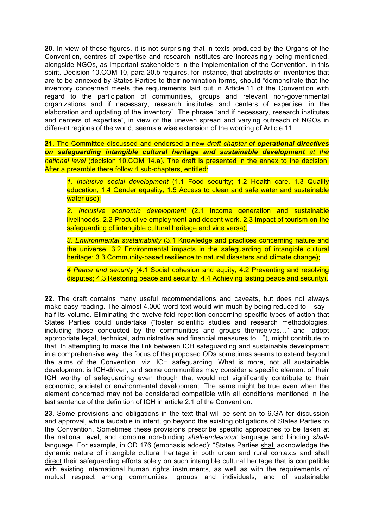**20.** In view of these figures, it is not surprising that in texts produced by the Organs of the Convention, centres of expertise and research institutes are increasingly being mentioned, alongside NGOs, as important stakeholders in the implementation of the Convention. In this spirit, Decision 10.COM 10, para 20.b requires, for instance, that abstracts of inventories that are to be annexed by States Parties to their nomination forms, should "demonstrate that the inventory concerned meets the requirements laid out in Article 11 of the Convention with regard to the participation of communities, groups and relevant non-governmental organizations and if necessary, research institutes and centers of expertise, in the elaboration and updating of the inventory". The phrase "and if necessary, research institutes and centers of expertise", in view of the uneven spread and varying outreach of NGOs in different regions of the world, seems a wise extension of the wording of Article 11.

**21.** The Committee discussed and endorsed a new *draft chapter of operational directives on safeguarding intangible cultural heritage and sustainable development at the national level* (decision 10.COM 14.a). The draft is presented in the annex to the decision. After a preamble there follow 4 sub-chapters, entitled:

*1. Inclusive social development* (1.1 Food security; 1.2 Health care, 1.3 Quality education, 1.4 Gender equality, 1.5 Access to clean and safe water and sustainable water use):

*2. Inclusive economic development* (2.1 Income generation and sustainable livelihoods, 2.2 Productive employment and decent work, 2.3 Impact of tourism on the safeguarding of intangible cultural heritage and vice versa);

*3. Environmental sustainability* (3.1 Knowledge and practices concerning nature and the universe; 3.2 Environmental impacts in the safeguarding of intangible cultural heritage; 3.3 Community-based resilience to natural disasters and climate change);

*4 Peace and security* (4.1 Social cohesion and equity; 4.2 Preventing and resolving disputes; 4.3 Restoring peace and security; 4.4 Achieving lasting peace and security).

**22.** The draft contains many useful recommendations and caveats, but does not always make easy reading. The almost 4,000-word text would win much by being reduced to – say half its volume. Eliminating the twelve-fold repetition concerning specific types of action that States Parties could undertake ("foster scientific studies and research methodologies, including those conducted by the communities and groups themselves…" and "adopt appropriate legal, technical, administrative and financial measures to…"), might contribute to that. In attempting to make the link between ICH safeguarding and sustainable development in a comprehensive way, the focus of the proposed ODs sometimes seems to extend beyond the aims of the Convention, viz. ICH safeguarding. What is more, not all sustainable development is ICH-driven, and some communities may consider a specific element of their ICH worthy of safeguarding even though that would not significantly contribute to their economic, societal or environmental development. The same might be true even when the element concerned may not be considered compatible with all conditions mentioned in the last sentence of the definition of ICH in article 2.1 of the Convention.

**23.** Some provisions and obligations in the text that will be sent on to 6.GA for discussion and approval, while laudable in intent, go beyond the existing obligations of States Parties to the Convention. Sometimes these provisions prescribe specific approaches to be taken at the national level, and combine non-binding *shall-endeavour* language and binding *shall*language. For example, in OD 176 (emphasis added): "States Parties shall acknowledge the dynamic nature of intangible cultural heritage in both urban and rural contexts and shall direct their safeguarding efforts solely on such intangible cultural heritage that is compatible with existing international human rights instruments, as well as with the requirements of mutual respect among communities, groups and individuals, and of sustainable